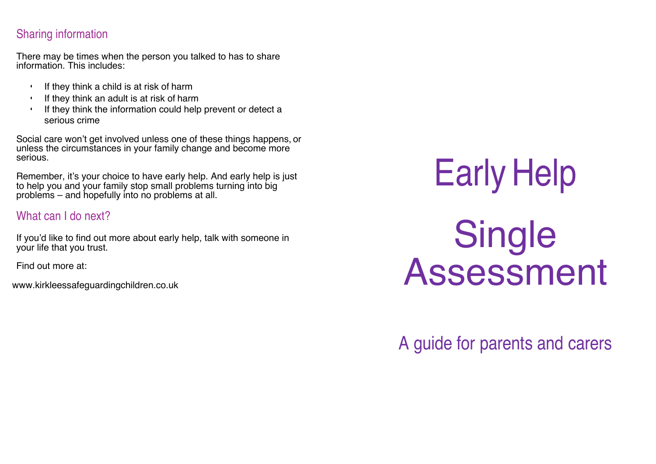## Sharing information

There may be times when the person you talked to has to share information. This includes:

- If they think a child is at risk of harm
- If they think an adult is at risk of harm
- If they think the information could help prevent or detect a serious crime

Social care won't get involved unless one of these things happens, or unless the circumstances in your family change and become more serious.

Remember, it's your choice to have early help. And early help is just to help you and your family stop small problems turning into big problems – and hopefully into no problems at all.

### What can I do next?

If you'd like to find out more about early help, talk with someone in your life that you trust.

Find out more at:

www.kirkleessafeguardingchildren.co.uk

# Early Help Single Assessment

# A guide for parents and carers